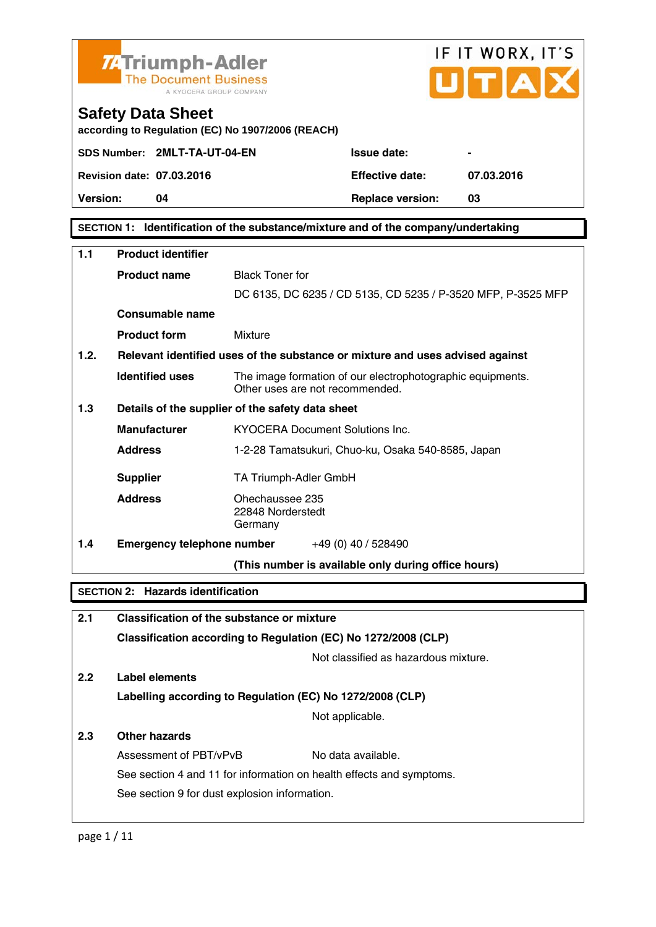

## IF IT WORX, IT'S TĪA

## **Safety Data Sheet**

**according to Regulation (EC) No 1907/2006 (REACH)** 

|                                  | SDS Number: 2MLT-TA-UT-04-EN |
|----------------------------------|------------------------------|
| <b>Revision date: 07.03.2016</b> |                              |

**Version:** 04 **Replace version:** 03

**Revision date: 07.03.2016 Effective date: 07.03.2016** 

**SECTION 1: Identification of the substance/mixture and of the company/undertaking** 

**Issue date:** 

| 1.1                                      | <b>Product identifier</b>                                      |                                                                                               |  |
|------------------------------------------|----------------------------------------------------------------|-----------------------------------------------------------------------------------------------|--|
|                                          | <b>Product name</b>                                            | <b>Black Toner for</b>                                                                        |  |
|                                          |                                                                | DC 6135, DC 6235 / CD 5135, CD 5235 / P-3520 MFP, P-3525 MFP                                  |  |
|                                          | Consumable name                                                |                                                                                               |  |
|                                          | <b>Product form</b>                                            | Mixture                                                                                       |  |
| 1.2.                                     |                                                                | Relevant identified uses of the substance or mixture and uses advised against                 |  |
|                                          | <b>Identified uses</b>                                         | The image formation of our electrophotographic equipments.<br>Other uses are not recommended. |  |
| 1.3                                      |                                                                | Details of the supplier of the safety data sheet                                              |  |
|                                          | <b>Manufacturer</b>                                            | <b>KYOCERA Document Solutions Inc.</b>                                                        |  |
|                                          | <b>Address</b>                                                 | 1-2-28 Tamatsukuri, Chuo-ku, Osaka 540-8585, Japan                                            |  |
|                                          | <b>Supplier</b>                                                | TA Triumph-Adler GmbH                                                                         |  |
|                                          | <b>Address</b>                                                 | Ohechaussee 235<br>22848 Norderstedt<br>Germany                                               |  |
| 1.4                                      | <b>Emergency telephone number</b> $+49(0)40/528490$            |                                                                                               |  |
|                                          |                                                                | (This number is available only during office hours)                                           |  |
| <b>SECTION 2: Hazards identification</b> |                                                                |                                                                                               |  |
| 2.1                                      |                                                                | <b>Classification of the substance or mixture</b>                                             |  |
|                                          | Classification according to Regulation (EC) No 1272/2008 (CLP) |                                                                                               |  |

Not classified as hazardous mixture.

**2.2 Label elements** 

**Labelling according to Regulation (EC) No 1272/2008 (CLP)**

Not applicable.

## **2.3 Other hazards**

Assessment of PBT/vPvB No data available. See section 4 and 11 for information on health effects and symptoms. See section 9 for dust explosion information.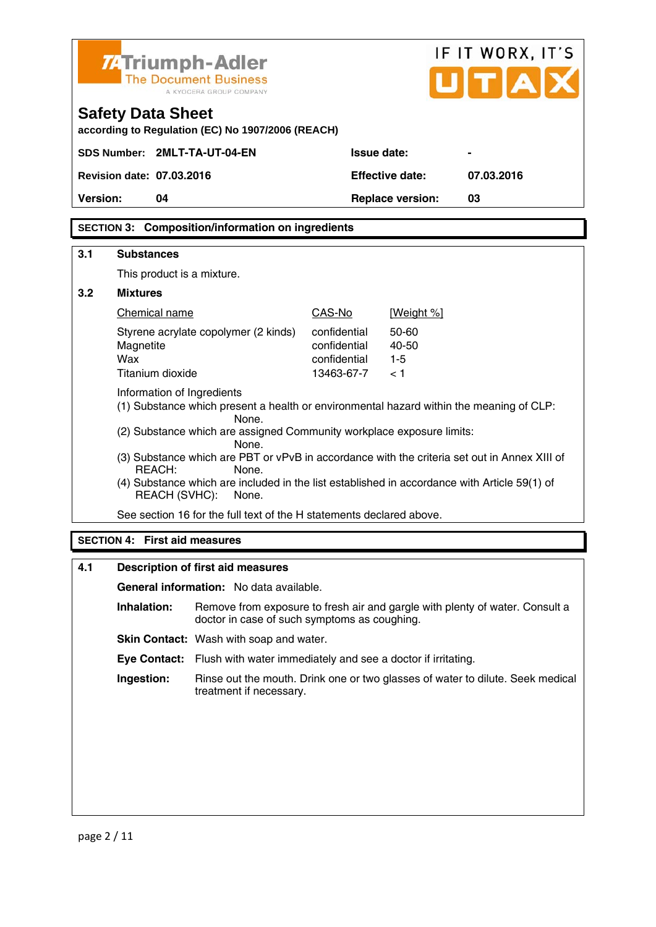| IF IT WORX, IT'S<br>7. Triumph-Adler<br>UITIA<br><b>The Document Business</b><br>A KYOCERA GROUP COMPANY |                                                                                                                       |                                                                                                       |                              |                         |                                                                              |
|----------------------------------------------------------------------------------------------------------|-----------------------------------------------------------------------------------------------------------------------|-------------------------------------------------------------------------------------------------------|------------------------------|-------------------------|------------------------------------------------------------------------------|
|                                                                                                          | <b>Safety Data Sheet</b>                                                                                              | according to Regulation (EC) No 1907/2006 (REACH)                                                     |                              |                         |                                                                              |
|                                                                                                          | SDS Number: 2MLT-TA-UT-04-EN                                                                                          |                                                                                                       | Issue date:                  |                         |                                                                              |
|                                                                                                          | <b>Revision date: 07.03.2016</b>                                                                                      |                                                                                                       |                              | <b>Effective date:</b>  | 07.03.2016                                                                   |
| Version:                                                                                                 | 04                                                                                                                    |                                                                                                       |                              | <b>Replace version:</b> | 03                                                                           |
|                                                                                                          |                                                                                                                       | <b>SECTION 3: Composition/information on ingredients</b>                                              |                              |                         |                                                                              |
| 3.1                                                                                                      | <b>Substances</b>                                                                                                     |                                                                                                       |                              |                         |                                                                              |
|                                                                                                          | This product is a mixture.                                                                                            |                                                                                                       |                              |                         |                                                                              |
| 3.2                                                                                                      | <b>Mixtures</b>                                                                                                       |                                                                                                       |                              |                         |                                                                              |
|                                                                                                          | Chemical name                                                                                                         |                                                                                                       | CAS-No                       | [Weight %]              |                                                                              |
|                                                                                                          |                                                                                                                       | Styrene acrylate copolymer (2 kinds)                                                                  | confidential                 | 50-60                   |                                                                              |
|                                                                                                          | Magnetite<br>Wax                                                                                                      |                                                                                                       | confidential<br>confidential | 40-50<br>$1 - 5$        |                                                                              |
|                                                                                                          | Titanium dioxide                                                                                                      |                                                                                                       | 13463-67-7                   | < 1                     |                                                                              |
|                                                                                                          | Information of Ingredients<br>(1) Substance which present a health or environmental hazard within the meaning of CLP: |                                                                                                       |                              |                         |                                                                              |
|                                                                                                          |                                                                                                                       | None.<br>(2) Substance which are assigned Community workplace exposure limits:                        |                              |                         |                                                                              |
|                                                                                                          |                                                                                                                       | None.<br>(3) Substance which are PBT or vPvB in accordance with the criteria set out in Annex XIII of |                              |                         |                                                                              |
|                                                                                                          | REACH:                                                                                                                | None.                                                                                                 |                              |                         |                                                                              |
|                                                                                                          | <b>REACH (SVHC):</b>                                                                                                  | (4) Substance which are included in the list established in accordance with Article 59(1) of<br>None. |                              |                         |                                                                              |
|                                                                                                          |                                                                                                                       | See section 16 for the full text of the H statements declared above.                                  |                              |                         |                                                                              |
| <b>SECTION 4: First aid measures</b>                                                                     |                                                                                                                       |                                                                                                       |                              |                         |                                                                              |
| 4.1                                                                                                      |                                                                                                                       | Description of first aid measures                                                                     |                              |                         |                                                                              |
|                                                                                                          |                                                                                                                       | General information: No data available.                                                               |                              |                         |                                                                              |
|                                                                                                          | Inhalation:                                                                                                           | doctor in case of such symptoms as coughing.                                                          |                              |                         | Remove from exposure to fresh air and gargle with plenty of water. Consult a |

**Skin Contact:** Wash with soap and water.

 **Eye Contact:** Flush with water immediately and see a doctor if irritating.

 **Ingestion:** Rinse out the mouth. Drink one or two glasses of water to dilute. Seek medical treatment if necessary.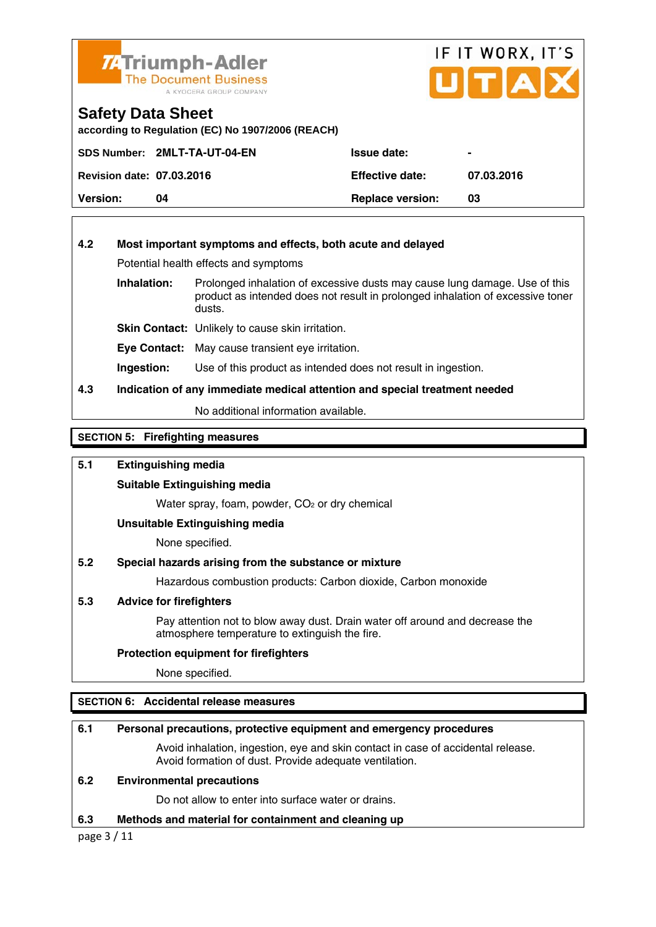

## IF IT WORX, IT'S UITIA

## **Safety Data Sheet**

**according to Regulation (EC) No 1907/2006 (REACH)** 

|                                  | SDS Number: 2MLT-TA-UT-04-EN | <b>Issue date:</b>      |            |
|----------------------------------|------------------------------|-------------------------|------------|
| <b>Revision date: 07.03.2016</b> |                              | <b>Effective date:</b>  | 07.03.2016 |
| <b>Version:</b>                  | n4                           | <b>Replace version:</b> | 03         |

## **4.2 Most important symptoms and effects, both acute and delayed**

Potential health effects and symptoms

**Inhalation:** Prolonged inhalation of excessive dusts may cause lung damage. Use of this product as intended does not result in prolonged inhalation of excessive toner dusts.

**Skin Contact:** Unlikely to cause skin irritation.

**Eye Contact:** May cause transient eye irritation.

**Ingestion:** Use of this product as intended does not result in ingestion.

## **4.3 Indication of any immediate medical attention and special treatment needed**

No additional information available.

**SECTION 5: Firefighting measures** 

## **5.1 Extinguishing media**

## **Suitable Extinguishing media**

Water spray, foam, powder, CO<sub>2</sub> or dry chemical

## **Unsuitable Extinguishing media**

None specified.

## **5.2 Special hazards arising from the substance or mixture**

Hazardous combustion products: Carbon dioxide, Carbon monoxide

## **5.3 Advice for firefighters**

 Pay attention not to blow away dust. Drain water off around and decrease the atmosphere temperature to extinguish the fire.

## **Protection equipment for firefighters**

None specified.

## **SECTION 6: Accidental release measures**

## **6.1 Personal precautions, protective equipment and emergency procedures**

 Avoid inhalation, ingestion, eye and skin contact in case of accidental release. Avoid formation of dust. Provide adequate ventilation.

## **6.2 Environmental precautions**

Do not allow to enter into surface water or drains.

## **6.3 Methods and material for containment and cleaning up**

page 3 / 11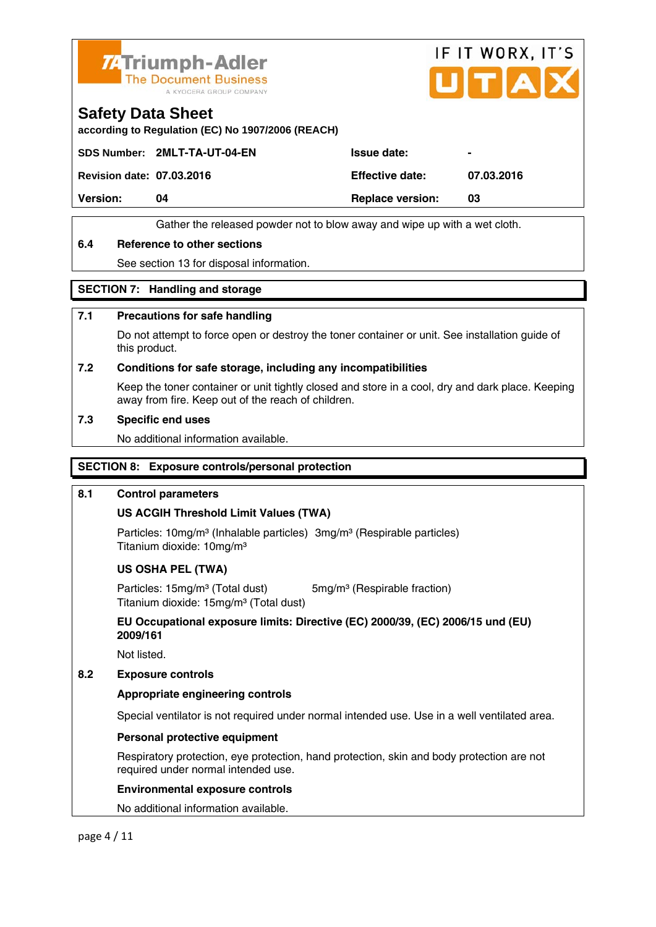



## **Safety Data Sheet**

**according to Regulation (EC) No 1907/2006 (REACH)** 

SDS Number: 2MLT-TA-UT-04-EN ISSue date:

**Revision date: 07.03.2016 Effective date: 07.03.2016** 

**Version:** 04 **Replace version:** 03

Gather the released powder not to blow away and wipe up with a wet cloth.

## **6.4 Reference to other sections**

See section 13 for disposal information.

## **SECTION 7: Handling and storage**

## **7.1 Precautions for safe handling**

 Do not attempt to force open or destroy the toner container or unit. See installation guide of this product.

## **7.2 Conditions for safe storage, including any incompatibilities**

Keep the toner container or unit tightly closed and store in a cool, dry and dark place. Keeping away from fire. Keep out of the reach of children.

## **7.3 Specific end uses**

No additional information available.

## **SECTION 8: Exposure controls/personal protection**

## **8.1 Control parameters**

## **US ACGIH Threshold Limit Values (TWA)**

Particles: 10mg/m<sup>3</sup> (Inhalable particles) 3mg/m<sup>3</sup> (Respirable particles) Titanium dioxide: 10mg/m³

## **US OSHA PEL (TWA)**

Particles: 15mg/m<sup>3</sup> (Total dust) 5mg/m<sup>3</sup> (Respirable fraction) Titanium dioxide: 15mg/m³ (Total dust)

 **EU Occupational exposure limits: Directive (EC) 2000/39, (EC) 2006/15 und (EU) 2009/161** 

Not listed.

## **8.2 Exposure controls**

## **Appropriate engineering controls**

Special ventilator is not required under normal intended use. Use in a well ventilated area.

## **Personal protective equipment**

 Respiratory protection, eye protection, hand protection, skin and body protection are not required under normal intended use.

## **Environmental exposure controls**

No additional information available.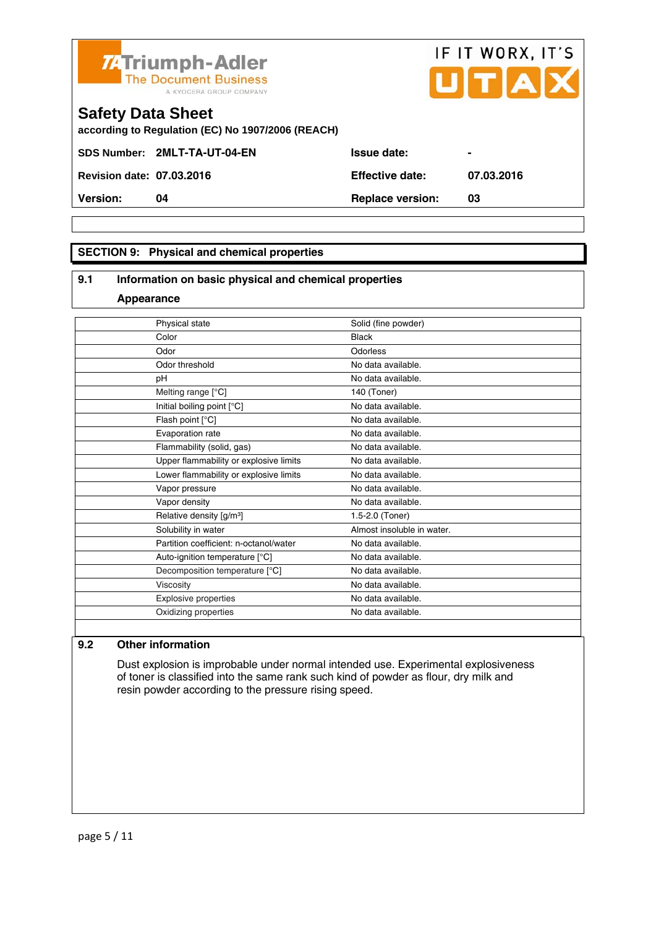

SDS Number: 2MLT-TA-UT-04-EN Issue date: **Revision date: 07.03.2016 Effective date: 07.03.2016** 

**Version: 04 Replace version: 03** 

## **SECTION 9: Physical and chemical properties**

## **9.1 Information on basic physical and chemical properties**

#### **Appearance**

| Physical state                         | Solid (fine powder)        |
|----------------------------------------|----------------------------|
| Color                                  | <b>Black</b>               |
| Odor                                   | Odorless                   |
| Odor threshold                         | No data available.         |
| pH                                     | No data available.         |
| Melting range [°C]                     | 140 (Toner)                |
| Initial boiling point [°C]             | No data available.         |
| Flash point [°C]                       | No data available.         |
| Evaporation rate                       | No data available.         |
| Flammability (solid, gas)              | No data available.         |
| Upper flammability or explosive limits | No data available.         |
| Lower flammability or explosive limits | No data available.         |
| Vapor pressure                         | No data available.         |
| Vapor density                          | No data available.         |
| Relative density [g/m <sup>3</sup> ]   | 1.5-2.0 (Toner)            |
| Solubility in water                    | Almost insoluble in water. |
| Partition coefficient: n-octanol/water | No data available.         |
| Auto-ignition temperature [°C]         | No data available.         |
| Decomposition temperature [°C]         | No data available.         |
| Viscosity                              | No data available.         |
| Explosive properties                   | No data available.         |
| Oxidizing properties                   | No data available.         |
|                                        |                            |

## **9.2 Other information**

 Dust explosion is improbable under normal intended use. Experimental explosiveness of toner is classified into the same rank such kind of powder as flour, dry milk and resin powder according to the pressure rising speed.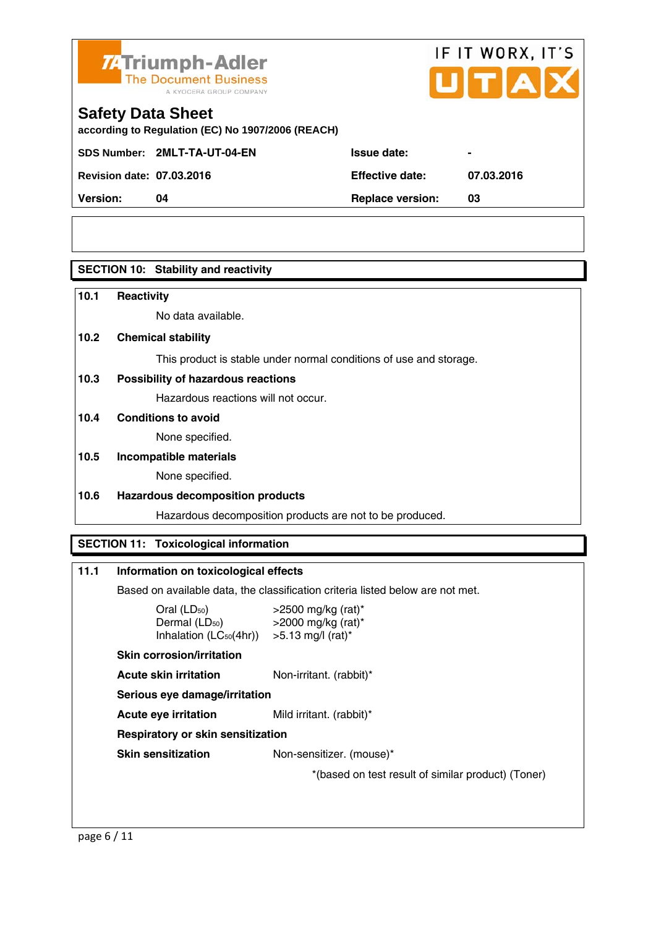

# IF IT WORX, IT'S

## **Safety Data Sheet**

**according to Regulation (EC) No 1907/2006 (REACH)** 

SDS Number: 2MLT-TA-UT-04-EN ISSue date:

**Revision date: 07.03.2016 Effective date: 07.03.2016** 

**Version: 04 Replace version: 03** 

## **SECTION 10: Stability and reactivity**

## **10.1 Reactivity**

No data available.

## **10.2 Chemical stability**

This product is stable under normal conditions of use and storage.

## **10.3 Possibility of hazardous reactions**

Hazardous reactions will not occur.

## **10.4 Conditions to avoid**

None specified.

## **10.5 Incompatible materials**

None specified.

## **10.6 Hazardous decomposition products**

Hazardous decomposition products are not to be produced.

## **SECTION 11: Toxicological information**

## **11.1 Information on toxicological effects**

Based on available data, the classification criteria listed below are not met.

| Oral $(LD_{50})$<br>Dermal $(LD_{50})$ >2000 mg/kg (rat)*<br>Inhalation $(LC_{50}(4hr))$ > 5.13 mg/l (rat)* | $>$ 2500 mg/kg (rat)*                              |
|-------------------------------------------------------------------------------------------------------------|----------------------------------------------------|
| <b>Skin corrosion/irritation</b>                                                                            |                                                    |
| Acute skin irritation                                                                                       | Non-irritant. (rabbit)*                            |
| Serious eye damage/irritation                                                                               |                                                    |
| Acute eve irritation                                                                                        | Mild irritant. (rabbit)*                           |
| <b>Respiratory or skin sensitization</b>                                                                    |                                                    |
| <b>Skin sensitization</b>                                                                                   | Non-sensitizer. (mouse)*                           |
|                                                                                                             | *(based on test result of similar product) (Toner) |
|                                                                                                             |                                                    |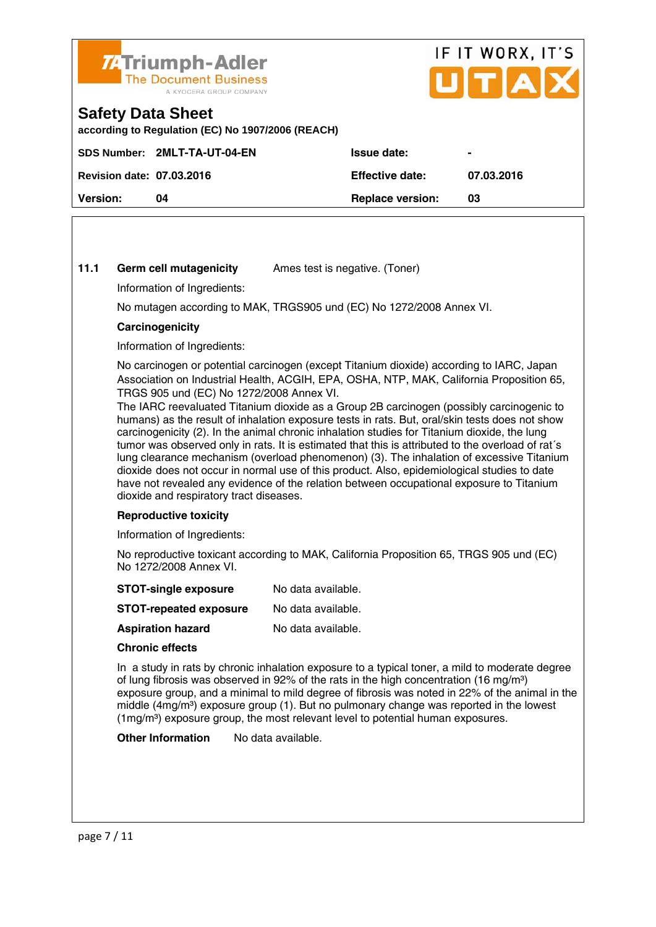

## IF IT WORX, IT'S Птіа

## **Safety Data Sheet**

**according to Regulation (EC) No 1907/2006 (REACH)** 

|                                  | SDS Number: 2MLT-TA-UT-04-EN | <b>Issue date:</b>      | $\blacksquare$ |
|----------------------------------|------------------------------|-------------------------|----------------|
| <b>Revision date: 07.03.2016</b> |                              | <b>Effective date:</b>  | 07.03.2016     |
| <b>Version:</b>                  | 04                           | <b>Replace version:</b> | 03             |
|                                  |                              |                         |                |

## **11.1 Germ cell mutagenicity** Ames test is negative. (Toner)

Information of Ingredients:

No mutagen according to MAK, TRGS905 und (EC) No 1272/2008 Annex VI.

## **Carcinogenicity**

Information of Ingredients:

 No carcinogen or potential carcinogen (except Titanium dioxide) according to IARC, Japan Association on Industrial Health, ACGIH, EPA, OSHA, NTP, MAK, California Proposition 65, TRGS 905 und (EC) No 1272/2008 Annex VI.

 The IARC reevaluated Titanium dioxide as a Group 2B carcinogen (possibly carcinogenic to humans) as the result of inhalation exposure tests in rats. But, oral/skin tests does not show carcinogenicity (2). In the animal chronic inhalation studies for Titanium dioxide, the lung tumor was observed only in rats. It is estimated that this is attributed to the overload of rat´s lung clearance mechanism (overload phenomenon) (3). The inhalation of excessive Titanium dioxide does not occur in normal use of this product. Also, epidemiological studies to date have not revealed any evidence of the relation between occupational exposure to Titanium dioxide and respiratory tract diseases.

## **Reproductive toxicity**

Information of Ingredients:

 No reproductive toxicant according to MAK, California Proposition 65, TRGS 905 und (EC) No 1272/2008 Annex VI.

| <b>STOT-single exposure</b>   | No data available. |
|-------------------------------|--------------------|
| <b>STOT-repeated exposure</b> | No data available. |

**Aspiration hazard** No data available.

## **Chronic effects**

 In a study in rats by chronic inhalation exposure to a typical toner, a mild to moderate degree of lung fibrosis was observed in 92% of the rats in the high concentration (16 mg/m<sup>3</sup>) exposure group, and a minimal to mild degree of fibrosis was noted in 22% of the animal in the middle  $(4mg/m<sup>3</sup>)$  exposure group (1). But no pulmonary change was reported in the lowest (1mg/m³) exposure group, the most relevant level to potential human exposures.

**Other Information** No data available.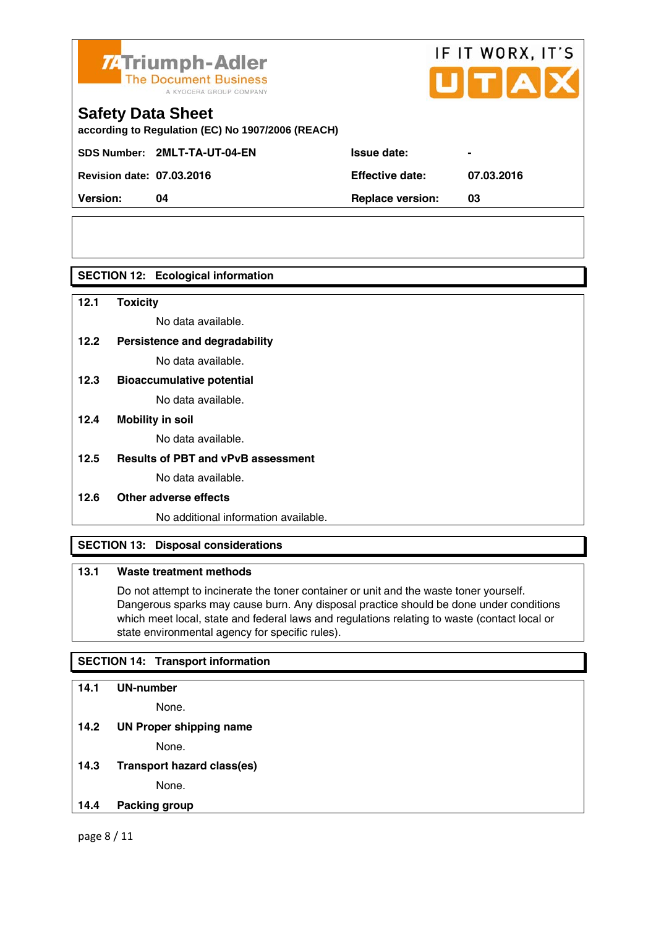

# IF IT WORX, IT'S

## **Safety Data Sheet**

**according to Regulation (EC) No 1907/2006 (REACH)** 

SDS Number: 2MLT-TA-UT-04-EN ISSue date:

**Revision date: 07.03.2016 Effective date: 07.03.2016** 

**Version: 04 Replace version: 03** 

## **SECTION 12: Ecological information**

**12.1 Toxicity** 

No data available.

## **12.2 Persistence and degradability**

No data available.

**12.3 Bioaccumulative potential** 

No data available.

## **12.4 Mobility in soil**

No data available.

## **12.5 Results of PBT and vPvB assessment**

No data available.

## **12.6 Other adverse effects**

No additional information available.

## **SECTION 13: Disposal considerations**

## **13.1 Waste treatment methods**

 Do not attempt to incinerate the toner container or unit and the waste toner yourself. Dangerous sparks may cause burn. Any disposal practice should be done under conditions which meet local, state and federal laws and regulations relating to waste (contact local or state environmental agency for specific rules).

## **SECTION 14: Transport information**

## **14.1 UN-number**

None.

**14.2 UN Proper shipping name** 

None.

**14.3 Transport hazard class(es)**  None.

## **14.4 Packing group**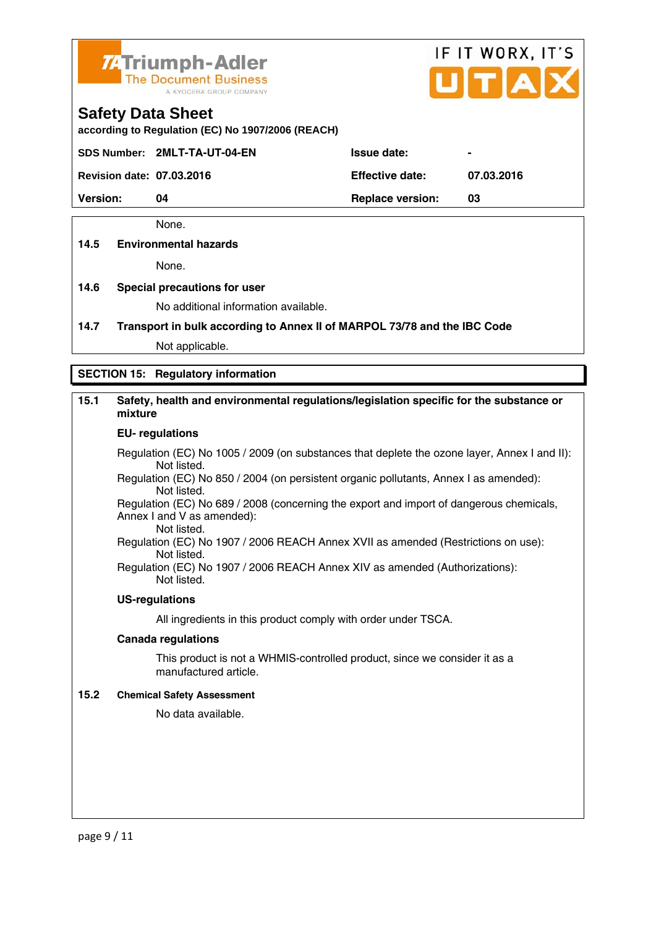

# IF IT WORX, IT'S

## **Safety Data Sheet**

**according to Regulation (EC) No 1907/2006 (REACH)** 

SDS Number: 2MLT-TA-UT-04-EN ISSue date:

**Revision date: 07.03.2016 Effective date: 07.03.2016** 

**Version: 04 Replace version: 03** 

None.

## **14.5 Environmental hazards**

None.

## **14.6 Special precautions for user**

No additional information available.

**14.7 Transport in bulk according to Annex II of MARPOL 73/78 and the IBC Code**

Not applicable.

## **SECTION 15: Regulatory information**

## **15.1 Safety, health and environmental regulations/legislation specific for the substance or mixture**

#### **EU- regulations**

Regulation (EC) No 1005 / 2009 (on substances that deplete the ozone layer, Annex I and II): Not listed.

 Regulation (EC) No 850 / 2004 (on persistent organic pollutants, Annex I as amended): Not listed.

 Regulation (EC) No 689 / 2008 (concerning the export and import of dangerous chemicals, Annex I and V as amended): Not listed.

 Regulation (EC) No 1907 / 2006 REACH Annex XVII as amended (Restrictions on use): Not listed.

Regulation (EC) No 1907 / 2006 REACH Annex XIV as amended (Authorizations): Not listed.

## **US-regulations**

All ingredients in this product comply with order under TSCA.

## **Canada regulations**

 This product is not a WHMIS-controlled product, since we consider it as a manufactured article.

## **15.2 Chemical Safety Assessment**

No data available.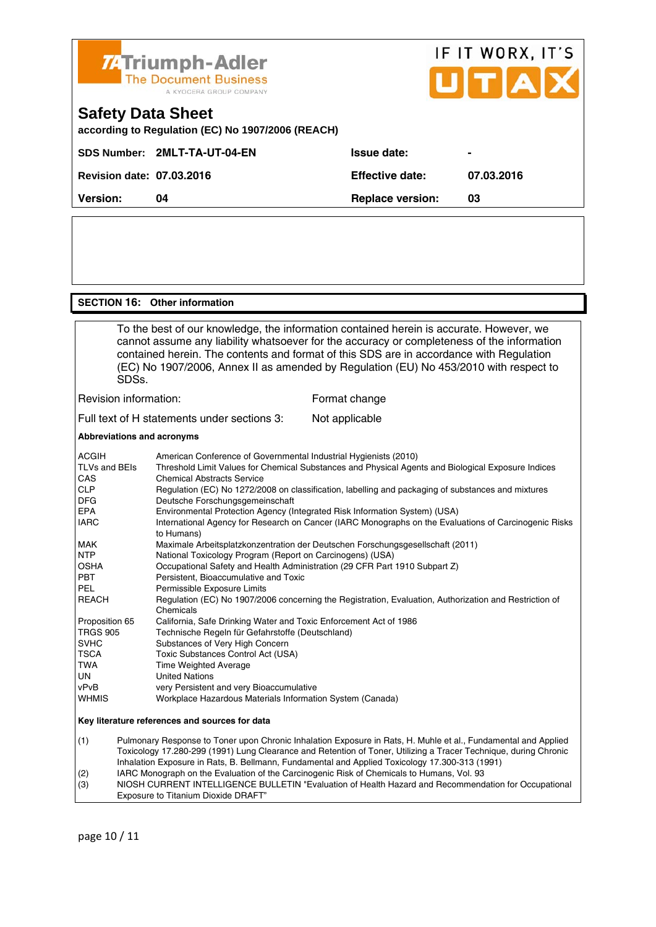

## **SECTION 16: Other information**

 To the best of our knowledge, the information contained herein is accurate. However, we cannot assume any liability whatsoever for the accuracy or completeness of the information contained herein. The contents and format of this SDS are in accordance with Regulation (EC) No 1907/2006, Annex II as amended by Regulation (EU) No 453/2010 with respect to SDSs. Revision information: Format change

Full text of H statements under sections 3: Not applicable

#### **Abbreviations and acronyms**

| <b>ACGIH</b>             | American Conference of Governmental Industrial Hygienists (2010)                                                                        |
|--------------------------|-----------------------------------------------------------------------------------------------------------------------------------------|
| TLVs and BEIs<br>CAS     | Threshold Limit Values for Chemical Substances and Physical Agents and Biological Exposure Indices<br><b>Chemical Abstracts Service</b> |
| <b>CLP</b><br><b>DFG</b> | Regulation (EC) No 1272/2008 on classification, labelling and packaging of substances and mixtures<br>Deutsche Forschungsgemeinschaft   |
| <b>EPA</b>               | Environmental Protection Agency (Integrated Risk Information System) (USA)                                                              |
| <b>IARC</b>              | International Agency for Research on Cancer (IARC Monographs on the Evaluations of Carcinogenic Risks<br>to Humans)                     |
| <b>MAK</b>               | Maximale Arbeitsplatzkonzentration der Deutschen Forschungsgesellschaft (2011)                                                          |
| <b>NTP</b>               | National Toxicology Program (Report on Carcinogens) (USA)                                                                               |
| <b>OSHA</b>              | Occupational Safety and Health Administration (29 CFR Part 1910 Subpart Z)                                                              |
| <b>PBT</b>               | Persistent. Bioaccumulative and Toxic                                                                                                   |
| PEL                      | Permissible Exposure Limits                                                                                                             |
| <b>REACH</b>             | Regulation (EC) No 1907/2006 concerning the Registration, Evaluation, Authorization and Restriction of<br>Chemicals                     |
| Proposition 65           | California, Safe Drinking Water and Toxic Enforcement Act of 1986                                                                       |
| <b>TRGS 905</b>          | Technische Regeln für Gefahrstoffe (Deutschland)                                                                                        |
| <b>SVHC</b>              | Substances of Very High Concern                                                                                                         |
| <b>TSCA</b>              | Toxic Substances Control Act (USA)                                                                                                      |
| TWA                      | <b>Time Weighted Average</b>                                                                                                            |
| <b>UN</b>                | <b>United Nations</b>                                                                                                                   |
| vPvB                     | very Persistent and very Bioaccumulative                                                                                                |
| <b>WHMIS</b>             | Workplace Hazardous Materials Information System (Canada)                                                                               |
|                          | Key literature references and sources for data                                                                                          |
| (1)                      | Pulmonary Response to Toner upon Chronic Inhalation Exposure in Rats, H. Muhle et al., Fundamental and Applied                          |

 Toxicology 17.280-299 (1991) Lung Clearance and Retention of Toner, Utilizing a Tracer Technique, during Chronic Inhalation Exposure in Rats, B. Bellmann, Fundamental and Applied Toxicology 17.300-313 (1991) (2) IARC Monograph on the Evaluation of the Carcinogenic Risk of Chemicals to Humans, Vol. 93

(3) NIOSH CURRENT INTELLIGENCE BULLETIN "Evaluation of Health Hazard and Recommendation for Occupational Exposure to Titanium Dioxide DRAFT"